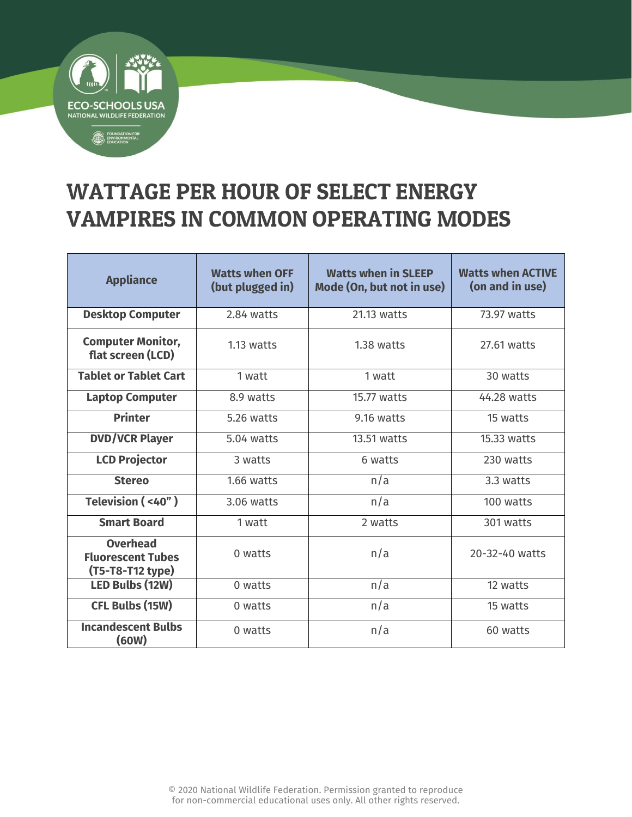

## WATTAGE PER HOUR OF SELECT ENERGY VAMPIRES IN COMMON OPERATING MODES

Б.

| <b>Appliance</b>                                                | <b>Watts when OFF</b><br>(but plugged in) | <b>Watts when in SLEEP</b><br>Mode (On, but not in use) | <b>Watts when ACTIVE</b><br>(on and in use) |
|-----------------------------------------------------------------|-------------------------------------------|---------------------------------------------------------|---------------------------------------------|
| <b>Desktop Computer</b>                                         | 2.84 watts                                | 21.13 watts                                             | 73.97 watts                                 |
| <b>Computer Monitor,</b><br>flat screen (LCD)                   | $1.13$ watts                              | 1.38 watts                                              | 27.61 watts                                 |
| <b>Tablet or Tablet Cart</b>                                    | 1 watt                                    | 1 watt                                                  | 30 watts                                    |
| <b>Laptop Computer</b>                                          | 8.9 watts                                 | 15.77 watts                                             | 44.28 watts                                 |
| <b>Printer</b>                                                  | 5.26 watts                                | 9.16 watts                                              | 15 watts                                    |
| <b>DVD/VCR Player</b>                                           | $5.04$ watts                              | $13.51$ watts                                           | $15.33$ watts                               |
| <b>LCD Projector</b>                                            | 3 watts                                   | 6 watts                                                 | 230 watts                                   |
| <b>Stereo</b>                                                   | 1.66 watts                                | n/a                                                     | 3.3 watts                                   |
| Television (<40")                                               | $3.06$ watts                              | n/a                                                     | 100 watts                                   |
| <b>Smart Board</b>                                              | 1 watt                                    | 2 watts                                                 | 301 watts                                   |
| <b>Overhead</b><br><b>Fluorescent Tubes</b><br>(T5-T8-T12 type) | 0 watts                                   | n/a                                                     | 20-32-40 watts                              |
| LED Bulbs (12W)                                                 | 0 watts                                   | n/a                                                     | 12 watts                                    |
| <b>CFL Bulbs (15W)</b>                                          | 0 watts                                   | n/a                                                     | 15 watts                                    |
| <b>Incandescent Bulbs</b><br>(60W)                              | 0 watts                                   | n/a                                                     | 60 watts                                    |